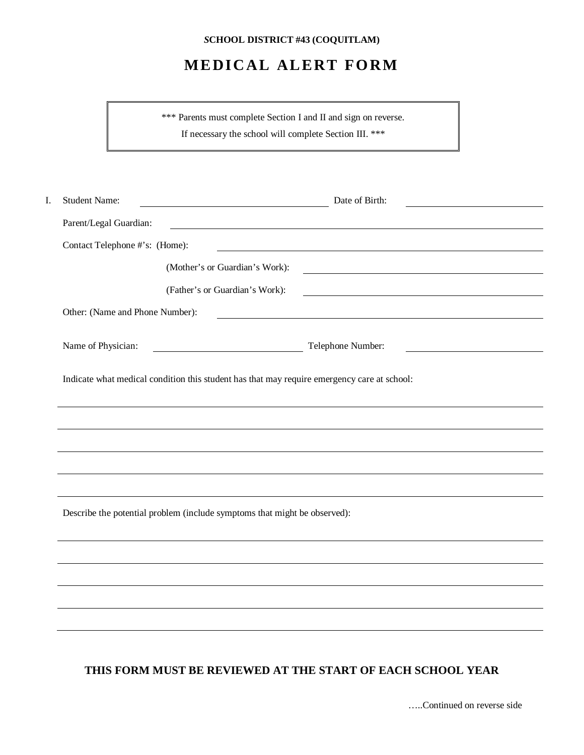## *S***CHOOL DISTRICT #43 (COQUITLAM)**

## **MEDICAL ALERT FORM**

\*\*\* Parents must complete Section I and II and sign on reverse. If necessary the school will complete Section III. \*\*\*

| I. | <b>Student Name:</b>                                                                                                                                     | Date of Birth:                                                                                                       |  |  |  |
|----|----------------------------------------------------------------------------------------------------------------------------------------------------------|----------------------------------------------------------------------------------------------------------------------|--|--|--|
|    | Parent/Legal Guardian:                                                                                                                                   | <u> 1980 - Johann Barn, mars ann an t-Amhain Aonaich an t-Aonaich an t-Aonaich ann an t-Aonaich ann an t-Aonaich</u> |  |  |  |
|    | Contact Telephone #'s: (Home):<br><u> 1989 - Johann Stoff, deutscher Stoffen und der Stoffen und der Stoffen und der Stoffen und der Stoffen und der</u> |                                                                                                                      |  |  |  |
|    |                                                                                                                                                          | (Mother's or Guardian's Work):<br><u> 1980 - Johann Barn, amerikansk politiker (</u>                                 |  |  |  |
|    |                                                                                                                                                          | (Father's or Guardian's Work):                                                                                       |  |  |  |
|    | Other: (Name and Phone Number):                                                                                                                          |                                                                                                                      |  |  |  |
|    |                                                                                                                                                          |                                                                                                                      |  |  |  |
|    | Name of Physician:                                                                                                                                       | Telephone Number:                                                                                                    |  |  |  |
|    | Indicate what medical condition this student has that may require emergency care at school:                                                              |                                                                                                                      |  |  |  |
|    |                                                                                                                                                          |                                                                                                                      |  |  |  |
|    |                                                                                                                                                          |                                                                                                                      |  |  |  |
|    |                                                                                                                                                          |                                                                                                                      |  |  |  |
|    |                                                                                                                                                          |                                                                                                                      |  |  |  |
|    | Describe the potential problem (include symptoms that might be observed):                                                                                |                                                                                                                      |  |  |  |
|    |                                                                                                                                                          |                                                                                                                      |  |  |  |
|    |                                                                                                                                                          |                                                                                                                      |  |  |  |
|    |                                                                                                                                                          |                                                                                                                      |  |  |  |
|    |                                                                                                                                                          |                                                                                                                      |  |  |  |
|    |                                                                                                                                                          |                                                                                                                      |  |  |  |

## **THIS FORM MUST BE REVIEWED AT THE START OF EACH SCHOOL YEAR**

…..Continued on reverse side